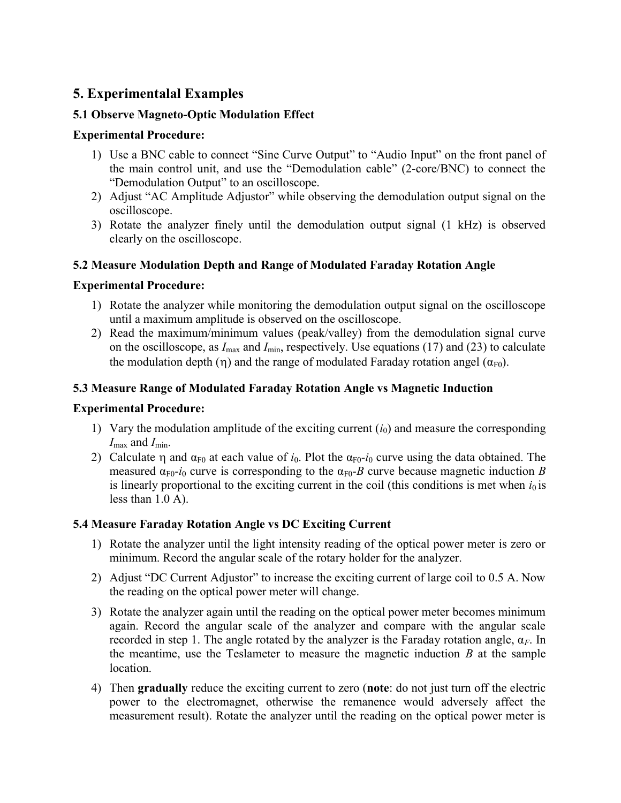# 5. Experimentalal Examples

# 5.1 Observe Magneto-Optic Modulation Effect

# Experimental Procedure:

- 1) Use a BNC cable to connect "Sine Curve Output" to "Audio Input" on the front panel of the main control unit, and use the "Demodulation cable" (2-core/BNC) to connect the "Demodulation Output" to an oscilloscope.
- 2) Adjust "AC Amplitude Adjustor" while observing the demodulation output signal on the oscilloscope.
- 3) Rotate the analyzer finely until the demodulation output signal (1 kHz) is observed clearly on the oscilloscope.

#### 5.2 Measure Modulation Depth and Range of Modulated Faraday Rotation Angle

#### Experimental Procedure:

- 1) Rotate the analyzer while monitoring the demodulation output signal on the oscilloscope until a maximum amplitude is observed on the oscilloscope.
- 2) Read the maximum/minimum values (peak/valley) from the demodulation signal curve on the oscilloscope, as  $I_{\text{max}}$  and  $I_{\text{min}}$ , respectively. Use equations (17) and (23) to calculate the modulation depth (η) and the range of modulated Faraday rotation angel ( $\alpha_{F0}$ ).

# 5.3 Measure Range of Modulated Faraday Rotation Angle vs Magnetic Induction

#### Experimental Procedure:

- 1) Vary the modulation amplitude of the exciting current  $(i_0)$  and measure the corresponding  $I_{\text{max}}$  and  $I_{\text{min}}$ .
- 2) Calculate  $\eta$  and  $\alpha_{F0}$  at each value of  $i_0$ . Plot the  $\alpha_{F0}$ - $i_0$  curve using the data obtained. The measured  $\alpha_{F0}$ -*i*<sub>0</sub> curve is corresponding to the  $\alpha_{F0}$ -*B* curve because magnetic induction *B* is linearly proportional to the exciting current in the coil (this conditions is met when  $i_0$  is less than 1.0 A).

# 5.4 Measure Faraday Rotation Angle vs DC Exciting Current

- 1) Rotate the analyzer until the light intensity reading of the optical power meter is zero or minimum. Record the angular scale of the rotary holder for the analyzer.
- 2) Adjust "DC Current Adjustor" to increase the exciting current of large coil to 0.5 A. Now the reading on the optical power meter will change.
- 3) Rotate the analyzer again until the reading on the optical power meter becomes minimum again. Record the angular scale of the analyzer and compare with the angular scale recorded in step 1. The angle rotated by the analyzer is the Faraday rotation angle,  $\alpha_F$ . In the meantime, use the Teslameter to measure the magnetic induction  $B$  at the sample location.
- 4) Then gradually reduce the exciting current to zero (note: do not just turn off the electric power to the electromagnet, otherwise the remanence would adversely affect the measurement result). Rotate the analyzer until the reading on the optical power meter is